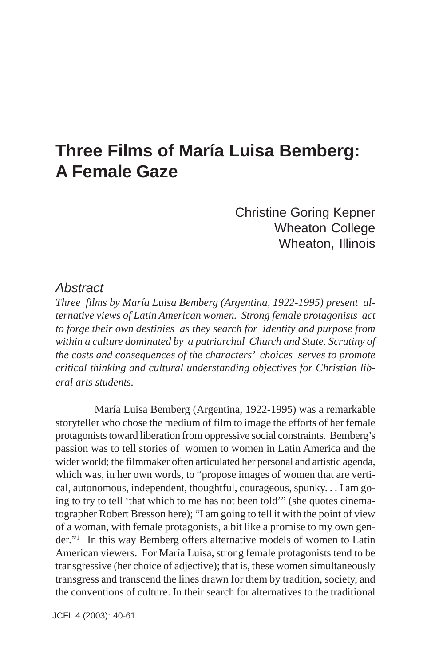# **Three Films of María Luisa Bemberg: A Female Gaze \_\_\_\_\_\_\_\_\_\_\_\_\_\_\_\_\_\_\_\_\_\_\_\_\_\_\_\_\_\_\_\_\_**

Christine Goring Kepner Wheaton College Wheaton, Illinois

#### *Abstract*

*Three films by María Luisa Bemberg (Argentina, 1922-1995) present alternative views of Latin American women. Strong female protagonists act to forge their own destinies as they search for identity and purpose from within a culture dominated by a patriarchal Church and State. Scrutiny of the costs and consequences of the characters' choices serves to promote critical thinking and cultural understanding objectives for Christian liberal arts students.*

María Luisa Bemberg (Argentina, 1922-1995) was a remarkable storyteller who chose the medium of film to image the efforts of her female protagonists toward liberation from oppressive social constraints. Bemberg's passion was to tell stories of women to women in Latin America and the wider world; the filmmaker often articulated her personal and artistic agenda, which was, in her own words, to "propose images of women that are vertical, autonomous, independent, thoughtful, courageous, spunky. . . I am going to try to tell 'that which to me has not been told'" (she quotes cinematographer Robert Bresson here); "I am going to tell it with the point of view of a woman, with female protagonists, a bit like a promise to my own gender."1 In this way Bemberg offers alternative models of women to Latin American viewers. For María Luisa, strong female protagonists tend to be transgressive (her choice of adjective); that is, these women simultaneously transgress and transcend the lines drawn for them by tradition, society, and the conventions of culture. In their search for alternatives to the traditional

JCFL 4 (2003): 40-61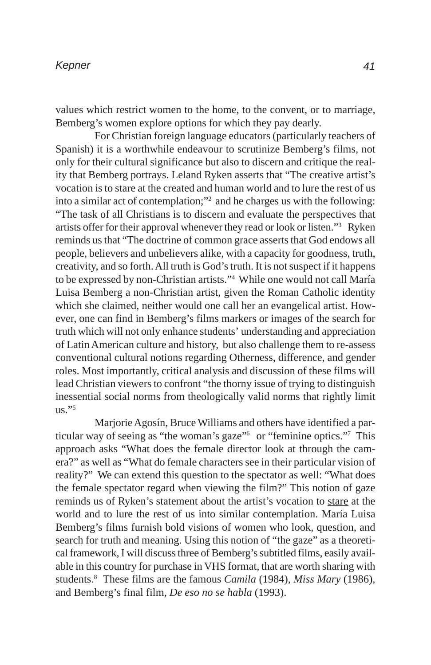values which restrict women to the home, to the convent, or to marriage, Bemberg's women explore options for which they pay dearly.

For Christian foreign language educators (particularly teachers of Spanish) it is a worthwhile endeavour to scrutinize Bemberg's films, not only for their cultural significance but also to discern and critique the reality that Bemberg portrays. Leland Ryken asserts that "The creative artist's vocation is to stare at the created and human world and to lure the rest of us into a similar act of contemplation;"2 and he charges us with the following: "The task of all Christians is to discern and evaluate the perspectives that artists offer for their approval whenever they read or look or listen."3 Ryken reminds us that "The doctrine of common grace asserts that God endows all people, believers and unbelievers alike, with a capacity for goodness, truth, creativity, and so forth. All truth is God's truth. It is not suspect if it happens to be expressed by non-Christian artists."4 While one would not call María Luisa Bemberg a non-Christian artist, given the Roman Catholic identity which she claimed, neither would one call her an evangelical artist. However, one can find in Bemberg's films markers or images of the search for truth which will not only enhance students' understanding and appreciation of Latin American culture and history, but also challenge them to re-assess conventional cultural notions regarding Otherness, difference, and gender roles. Most importantly, critical analysis and discussion of these films will lead Christian viewers to confront "the thorny issue of trying to distinguish inessential social norms from theologically valid norms that rightly limit  $\frac{11}{5}$ .

Marjorie Agosín, Bruce Williams and others have identified a particular way of seeing as "the woman's gaze"6 or "feminine optics."7 This approach asks "What does the female director look at through the camera?" as well as "What do female characters see in their particular vision of reality?" We can extend this question to the spectator as well: "What does the female spectator regard when viewing the film?" This notion of gaze reminds us of Ryken's statement about the artist's vocation to stare at the world and to lure the rest of us into similar contemplation. María Luisa Bemberg's films furnish bold visions of women who look, question, and search for truth and meaning. Using this notion of "the gaze" as a theoretical framework, I will discuss three of Bemberg's subtitled films, easily available in this country for purchase in VHS format, that are worth sharing with students.8 These films are the famous *Camila* (1984), *Miss Mary* (1986), and Bemberg's final film, *De eso no se habla* (1993).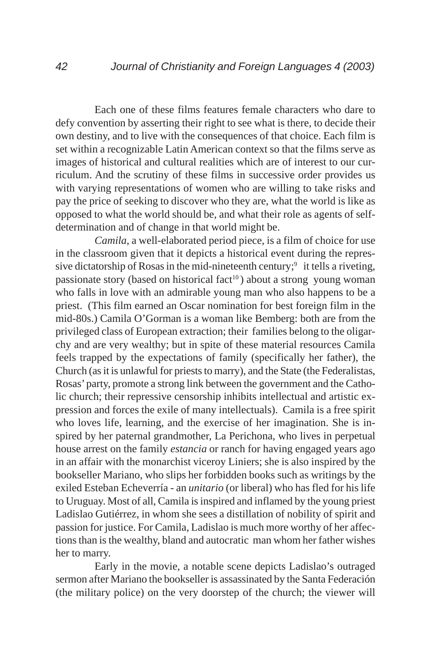Each one of these films features female characters who dare to defy convention by asserting their right to see what is there, to decide their own destiny, and to live with the consequences of that choice. Each film is set within a recognizable Latin American context so that the films serve as images of historical and cultural realities which are of interest to our curriculum. And the scrutiny of these films in successive order provides us with varying representations of women who are willing to take risks and pay the price of seeking to discover who they are, what the world is like as opposed to what the world should be, and what their role as agents of selfdetermination and of change in that world might be.

*Camila*, a well-elaborated period piece, is a film of choice for use in the classroom given that it depicts a historical event during the repressive dictatorship of Rosas in the mid-nineteenth century; $\frac{9}{1}$  it tells a riveting, passionate story (based on historical fact<sup>10</sup>) about a strong young woman who falls in love with an admirable young man who also happens to be a priest. (This film earned an Oscar nomination for best foreign film in the mid-80s.) Camila O'Gorman is a woman like Bemberg: both are from the privileged class of European extraction; their families belong to the oligarchy and are very wealthy; but in spite of these material resources Camila feels trapped by the expectations of family (specifically her father), the Church (as it is unlawful for priests to marry), and the State (the Federalistas, Rosas' party, promote a strong link between the government and the Catholic church; their repressive censorship inhibits intellectual and artistic expression and forces the exile of many intellectuals). Camila is a free spirit who loves life, learning, and the exercise of her imagination. She is inspired by her paternal grandmother, La Perichona, who lives in perpetual house arrest on the family *estancia* or ranch for having engaged years ago in an affair with the monarchist viceroy Liniers; she is also inspired by the bookseller Mariano, who slips her forbidden books such as writings by the exiled Esteban Echeverría - an *unitario* (or liberal) who has fled for his life to Uruguay. Most of all, Camila is inspired and inflamed by the young priest Ladislao Gutiérrez, in whom she sees a distillation of nobility of spirit and passion for justice. For Camila, Ladislao is much more worthy of her affections than is the wealthy, bland and autocratic man whom her father wishes her to marry.

Early in the movie, a notable scene depicts Ladislao's outraged sermon after Mariano the bookseller is assassinated by the Santa Federación (the military police) on the very doorstep of the church; the viewer will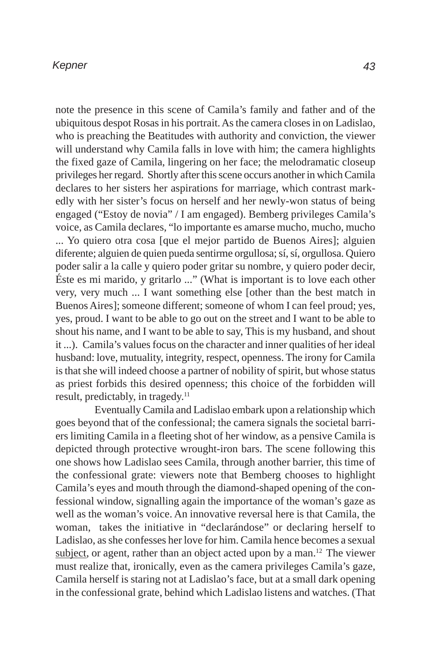note the presence in this scene of Camila's family and father and of the ubiquitous despot Rosas in his portrait. As the camera closes in on Ladislao, who is preaching the Beatitudes with authority and conviction, the viewer will understand why Camila falls in love with him; the camera highlights the fixed gaze of Camila, lingering on her face; the melodramatic closeup privileges her regard. Shortly after this scene occurs another in which Camila declares to her sisters her aspirations for marriage, which contrast markedly with her sister's focus on herself and her newly-won status of being engaged ("Estoy de novia" / I am engaged). Bemberg privileges Camila's voice, as Camila declares, "lo importante es amarse mucho, mucho, mucho ... Yo quiero otra cosa [que el mejor partido de Buenos Aires]; alguien diferente; alguien de quien pueda sentirme orgullosa; sí, sí, orgullosa. Quiero poder salir a la calle y quiero poder gritar su nombre, y quiero poder decir, Éste es mi marido, y gritarlo ..." (What is important is to love each other very, very much ... I want something else [other than the best match in Buenos Aires]; someone different; someone of whom I can feel proud; yes, yes, proud. I want to be able to go out on the street and I want to be able to shout his name, and I want to be able to say, This is my husband, and shout it ...). Camila's values focus on the character and inner qualities of her ideal husband: love, mutuality, integrity, respect, openness. The irony for Camila is that she will indeed choose a partner of nobility of spirit, but whose status as priest forbids this desired openness; this choice of the forbidden will result, predictably, in tragedy.<sup>11</sup>

Eventually Camila and Ladislao embark upon a relationship which goes beyond that of the confessional; the camera signals the societal barriers limiting Camila in a fleeting shot of her window, as a pensive Camila is depicted through protective wrought-iron bars. The scene following this one shows how Ladislao sees Camila, through another barrier, this time of the confessional grate: viewers note that Bemberg chooses to highlight Camila's eyes and mouth through the diamond-shaped opening of the confessional window, signalling again the importance of the woman's gaze as well as the woman's voice. An innovative reversal here is that Camila, the woman, takes the initiative in "declarándose" or declaring herself to Ladislao, as she confesses her love for him. Camila hence becomes a sexual subject, or agent, rather than an object acted upon by a man.<sup>12</sup> The viewer must realize that, ironically, even as the camera privileges Camila's gaze, Camila herself is staring not at Ladislao's face, but at a small dark opening in the confessional grate, behind which Ladislao listens and watches. (That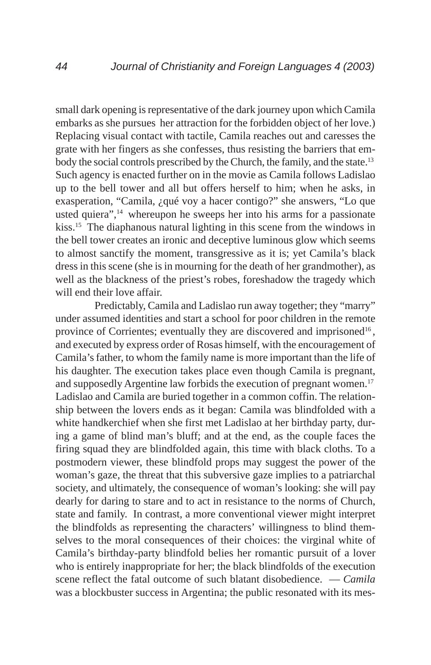small dark opening is representative of the dark journey upon which Camila embarks as she pursues her attraction for the forbidden object of her love.) Replacing visual contact with tactile, Camila reaches out and caresses the grate with her fingers as she confesses, thus resisting the barriers that embody the social controls prescribed by the Church, the family, and the state.<sup>13</sup> Such agency is enacted further on in the movie as Camila follows Ladislao up to the bell tower and all but offers herself to him; when he asks, in exasperation, "Camila, ¿qué voy a hacer contigo?" she answers, "Lo que usted quiera", $14$  whereupon he sweeps her into his arms for a passionate kiss.15 The diaphanous natural lighting in this scene from the windows in the bell tower creates an ironic and deceptive luminous glow which seems to almost sanctify the moment, transgressive as it is; yet Camila's black dress in this scene (she is in mourning for the death of her grandmother), as well as the blackness of the priest's robes, foreshadow the tragedy which will end their love affair.

Predictably, Camila and Ladislao run away together; they "marry" under assumed identities and start a school for poor children in the remote province of Corrientes; eventually they are discovered and imprisoned<sup>16</sup>, and executed by express order of Rosas himself, with the encouragement of Camila's father, to whom the family name is more important than the life of his daughter. The execution takes place even though Camila is pregnant, and supposedly Argentine law forbids the execution of pregnant women.<sup>17</sup> Ladislao and Camila are buried together in a common coffin. The relationship between the lovers ends as it began: Camila was blindfolded with a white handkerchief when she first met Ladislao at her birthday party, during a game of blind man's bluff; and at the end, as the couple faces the firing squad they are blindfolded again, this time with black cloths. To a postmodern viewer, these blindfold props may suggest the power of the woman's gaze, the threat that this subversive gaze implies to a patriarchal society, and ultimately, the consequence of woman's looking: she will pay dearly for daring to stare and to act in resistance to the norms of Church, state and family. In contrast, a more conventional viewer might interpret the blindfolds as representing the characters' willingness to blind themselves to the moral consequences of their choices: the virginal white of Camila's birthday-party blindfold belies her romantic pursuit of a lover who is entirely inappropriate for her; the black blindfolds of the execution scene reflect the fatal outcome of such blatant disobedience. — *Camila* was a blockbuster success in Argentina; the public resonated with its mes-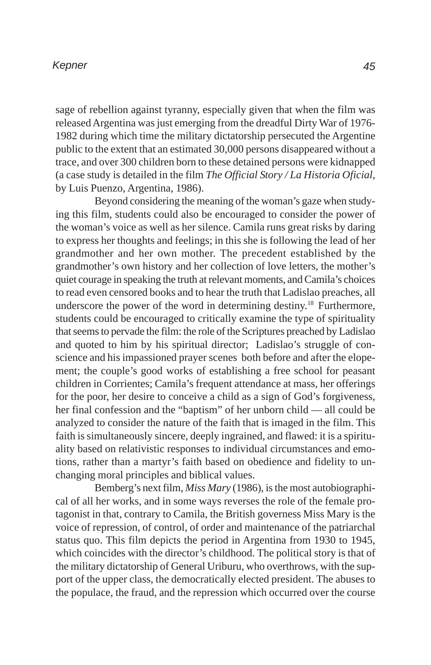sage of rebellion against tyranny, especially given that when the film was released Argentina was just emerging from the dreadful Dirty War of 1976- 1982 during which time the military dictatorship persecuted the Argentine public to the extent that an estimated 30,000 persons disappeared without a trace, and over 300 children born to these detained persons were kidnapped (a case study is detailed in the film *The Official Story / La Historia Oficial*, by Luis Puenzo, Argentina, 1986).

Beyond considering the meaning of the woman's gaze when studying this film, students could also be encouraged to consider the power of the woman's voice as well as her silence. Camila runs great risks by daring to express her thoughts and feelings; in this she is following the lead of her grandmother and her own mother. The precedent established by the grandmother's own history and her collection of love letters, the mother's quiet courage in speaking the truth at relevant moments, and Camila's choices to read even censored books and to hear the truth that Ladislao preaches, all underscore the power of the word in determining destiny.18 Furthermore, students could be encouraged to critically examine the type of spirituality that seems to pervade the film: the role of the Scriptures preached by Ladislao and quoted to him by his spiritual director; Ladislao's struggle of conscience and his impassioned prayer scenes both before and after the elopement; the couple's good works of establishing a free school for peasant children in Corrientes; Camila's frequent attendance at mass, her offerings for the poor, her desire to conceive a child as a sign of God's forgiveness, her final confession and the "baptism" of her unborn child — all could be analyzed to consider the nature of the faith that is imaged in the film. This faith is simultaneously sincere, deeply ingrained, and flawed: it is a spirituality based on relativistic responses to individual circumstances and emotions, rather than a martyr's faith based on obedience and fidelity to unchanging moral principles and biblical values.

Bemberg's next film, *Miss Mary* (1986), is the most autobiographical of all her works, and in some ways reverses the role of the female protagonist in that, contrary to Camila, the British governess Miss Mary is the voice of repression, of control, of order and maintenance of the patriarchal status quo. This film depicts the period in Argentina from 1930 to 1945, which coincides with the director's childhood. The political story is that of the military dictatorship of General Uriburu, who overthrows, with the support of the upper class, the democratically elected president. The abuses to the populace, the fraud, and the repression which occurred over the course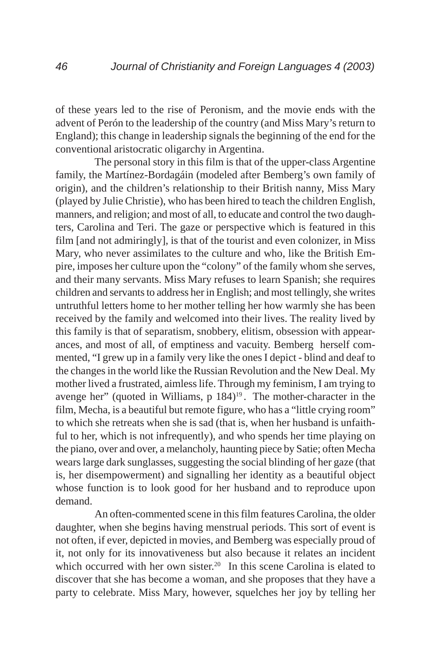of these years led to the rise of Peronism, and the movie ends with the advent of Perón to the leadership of the country (and Miss Mary's return to England); this change in leadership signals the beginning of the end for the conventional aristocratic oligarchy in Argentina.

The personal story in this film is that of the upper-class Argentine family, the Martínez-Bordagáin (modeled after Bemberg's own family of origin), and the children's relationship to their British nanny, Miss Mary (played by Julie Christie), who has been hired to teach the children English, manners, and religion; and most of all, to educate and control the two daughters, Carolina and Teri. The gaze or perspective which is featured in this film [and not admiringly], is that of the tourist and even colonizer, in Miss Mary, who never assimilates to the culture and who, like the British Empire, imposes her culture upon the "colony" of the family whom she serves, and their many servants. Miss Mary refuses to learn Spanish; she requires children and servants to address her in English; and most tellingly, she writes untruthful letters home to her mother telling her how warmly she has been received by the family and welcomed into their lives. The reality lived by this family is that of separatism, snobbery, elitism, obsession with appearances, and most of all, of emptiness and vacuity. Bemberg herself commented, "I grew up in a family very like the ones I depict - blind and deaf to the changes in the world like the Russian Revolution and the New Deal. My mother lived a frustrated, aimless life. Through my feminism, I am trying to avenge her" (quoted in Williams,  $p \ 184$ )<sup>19</sup>. The mother-character in the film, Mecha, is a beautiful but remote figure, who has a "little crying room" to which she retreats when she is sad (that is, when her husband is unfaithful to her, which is not infrequently), and who spends her time playing on the piano, over and over, a melancholy, haunting piece by Satie; often Mecha wears large dark sunglasses, suggesting the social blinding of her gaze (that is, her disempowerment) and signalling her identity as a beautiful object whose function is to look good for her husband and to reproduce upon demand.

An often-commented scene in this film features Carolina, the older daughter, when she begins having menstrual periods. This sort of event is not often, if ever, depicted in movies, and Bemberg was especially proud of it, not only for its innovativeness but also because it relates an incident which occurred with her own sister.<sup>20</sup> In this scene Carolina is elated to discover that she has become a woman, and she proposes that they have a party to celebrate. Miss Mary, however, squelches her joy by telling her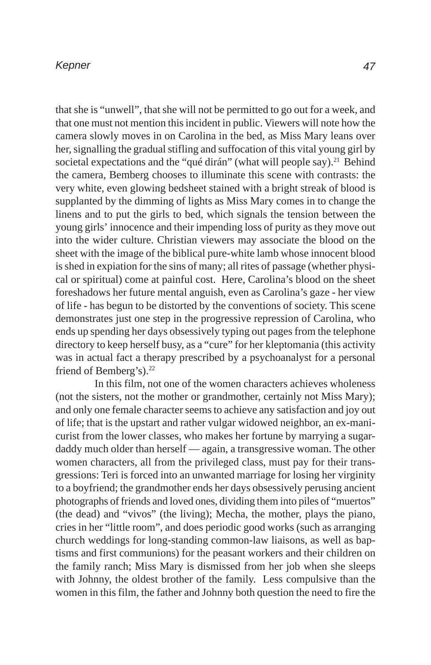that she is "unwell", that she will not be permitted to go out for a week, and that one must not mention this incident in public. Viewers will note how the camera slowly moves in on Carolina in the bed, as Miss Mary leans over her, signalling the gradual stifling and suffocation of this vital young girl by societal expectations and the "qué dirán" (what will people say).<sup>21</sup> Behind the camera, Bemberg chooses to illuminate this scene with contrasts: the very white, even glowing bedsheet stained with a bright streak of blood is supplanted by the dimming of lights as Miss Mary comes in to change the linens and to put the girls to bed, which signals the tension between the young girls' innocence and their impending loss of purity as they move out into the wider culture. Christian viewers may associate the blood on the sheet with the image of the biblical pure-white lamb whose innocent blood is shed in expiation for the sins of many; all rites of passage (whether physical or spiritual) come at painful cost. Here, Carolina's blood on the sheet foreshadows her future mental anguish, even as Carolina's gaze - her view of life - has begun to be distorted by the conventions of society. This scene demonstrates just one step in the progressive repression of Carolina, who ends up spending her days obsessively typing out pages from the telephone directory to keep herself busy, as a "cure" for her kleptomania (this activity was in actual fact a therapy prescribed by a psychoanalyst for a personal friend of Bemberg's).<sup>22</sup>

In this film, not one of the women characters achieves wholeness (not the sisters, not the mother or grandmother, certainly not Miss Mary); and only one female character seems to achieve any satisfaction and joy out of life; that is the upstart and rather vulgar widowed neighbor, an ex-manicurist from the lower classes, who makes her fortune by marrying a sugardaddy much older than herself — again, a transgressive woman. The other women characters, all from the privileged class, must pay for their transgressions: Teri is forced into an unwanted marriage for losing her virginity to a boyfriend; the grandmother ends her days obsessively perusing ancient photographs of friends and loved ones, dividing them into piles of "muertos" (the dead) and "vivos" (the living); Mecha, the mother, plays the piano, cries in her "little room", and does periodic good works (such as arranging church weddings for long-standing common-law liaisons, as well as baptisms and first communions) for the peasant workers and their children on the family ranch; Miss Mary is dismissed from her job when she sleeps with Johnny, the oldest brother of the family. Less compulsive than the women in this film, the father and Johnny both question the need to fire the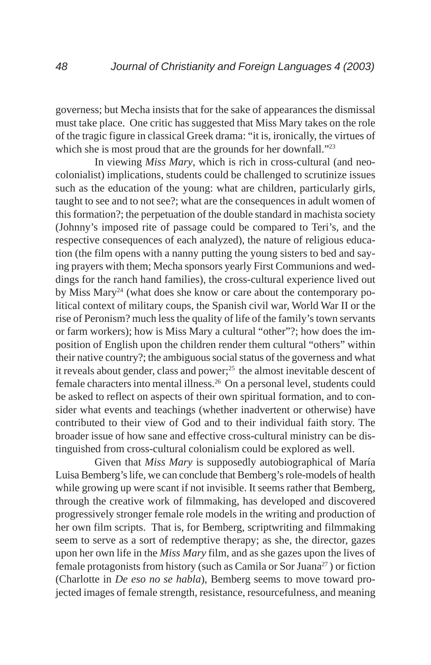governess; but Mecha insists that for the sake of appearances the dismissal must take place. One critic has suggested that Miss Mary takes on the role of the tragic figure in classical Greek drama: "it is, ironically, the virtues of which she is most proud that are the grounds for her downfall."<sup>23</sup>

In viewing *Miss Mary*, which is rich in cross-cultural (and neocolonialist) implications, students could be challenged to scrutinize issues such as the education of the young: what are children, particularly girls, taught to see and to not see?; what are the consequences in adult women of this formation?; the perpetuation of the double standard in machista society (Johnny's imposed rite of passage could be compared to Teri's, and the respective consequences of each analyzed), the nature of religious education (the film opens with a nanny putting the young sisters to bed and saying prayers with them; Mecha sponsors yearly First Communions and weddings for the ranch hand families), the cross-cultural experience lived out by Miss Mary24 (what does she know or care about the contemporary political context of military coups, the Spanish civil war, World War II or the rise of Peronism? much less the quality of life of the family's town servants or farm workers); how is Miss Mary a cultural "other"?; how does the imposition of English upon the children render them cultural "others" within their native country?; the ambiguous social status of the governess and what it reveals about gender, class and power;<sup>25</sup> the almost inevitable descent of female characters into mental illness.26 On a personal level, students could be asked to reflect on aspects of their own spiritual formation, and to consider what events and teachings (whether inadvertent or otherwise) have contributed to their view of God and to their individual faith story. The broader issue of how sane and effective cross-cultural ministry can be distinguished from cross-cultural colonialism could be explored as well.

Given that *Miss Mary* is supposedly autobiographical of María Luisa Bemberg's life, we can conclude that Bemberg's role-models of health while growing up were scant if not invisible. It seems rather that Bemberg, through the creative work of filmmaking, has developed and discovered progressively stronger female role models in the writing and production of her own film scripts. That is, for Bemberg, scriptwriting and filmmaking seem to serve as a sort of redemptive therapy; as she, the director, gazes upon her own life in the *Miss Mary* film, and as she gazes upon the lives of female protagonists from history (such as Camila or Sor Juana<sup>27</sup>) or fiction (Charlotte in *De eso no se habla*), Bemberg seems to move toward projected images of female strength, resistance, resourcefulness, and meaning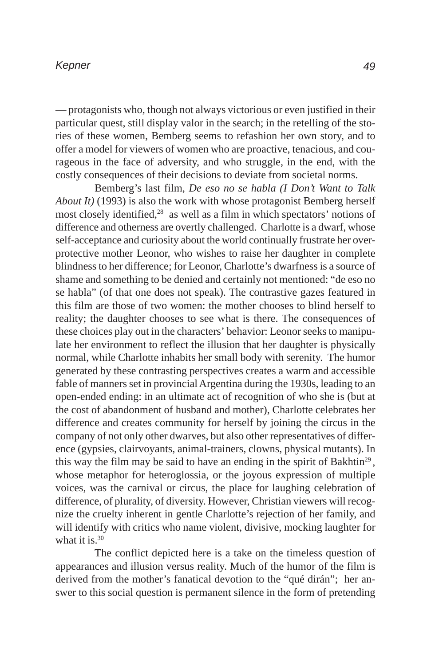— protagonists who, though not always victorious or even justified in their particular quest, still display valor in the search; in the retelling of the stories of these women, Bemberg seems to refashion her own story, and to offer a model for viewers of women who are proactive, tenacious, and courageous in the face of adversity, and who struggle, in the end, with the costly consequences of their decisions to deviate from societal norms.

Bemberg's last film, *De eso no se habla (I Don't Want to Talk About It)* (1993) is also the work with whose protagonist Bemberg herself most closely identified,<sup>28</sup> as well as a film in which spectators' notions of difference and otherness are overtly challenged. Charlotte is a dwarf, whose self-acceptance and curiosity about the world continually frustrate her overprotective mother Leonor, who wishes to raise her daughter in complete blindness to her difference; for Leonor, Charlotte's dwarfness is a source of shame and something to be denied and certainly not mentioned: "de eso no se habla" (of that one does not speak). The contrastive gazes featured in this film are those of two women: the mother chooses to blind herself to reality; the daughter chooses to see what is there. The consequences of these choices play out in the characters' behavior: Leonor seeks to manipulate her environment to reflect the illusion that her daughter is physically normal, while Charlotte inhabits her small body with serenity. The humor generated by these contrasting perspectives creates a warm and accessible fable of manners set in provincial Argentina during the 1930s, leading to an open-ended ending: in an ultimate act of recognition of who she is (but at the cost of abandonment of husband and mother), Charlotte celebrates her difference and creates community for herself by joining the circus in the company of not only other dwarves, but also other representatives of difference (gypsies, clairvoyants, animal-trainers, clowns, physical mutants). In this way the film may be said to have an ending in the spirit of Bakhtin<sup>29</sup>, whose metaphor for heteroglossia, or the joyous expression of multiple voices, was the carnival or circus, the place for laughing celebration of difference, of plurality, of diversity. However, Christian viewers will recognize the cruelty inherent in gentle Charlotte's rejection of her family, and will identify with critics who name violent, divisive, mocking laughter for what it is.<sup>30</sup>

The conflict depicted here is a take on the timeless question of appearances and illusion versus reality. Much of the humor of the film is derived from the mother's fanatical devotion to the "qué dirán"; her answer to this social question is permanent silence in the form of pretending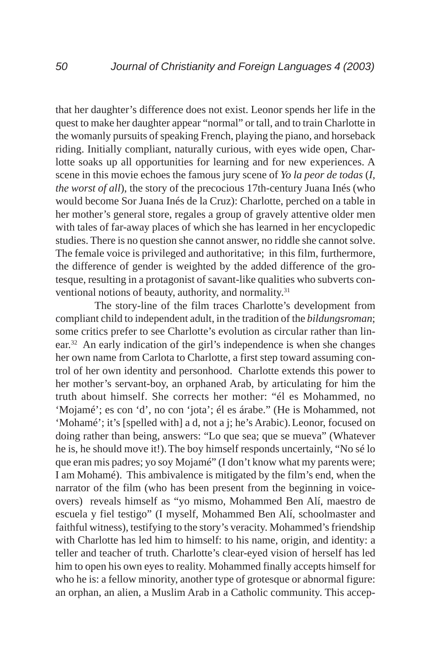that her daughter's difference does not exist. Leonor spends her life in the quest to make her daughter appear "normal" or tall, and to train Charlotte in the womanly pursuits of speaking French, playing the piano, and horseback riding. Initially compliant, naturally curious, with eyes wide open, Charlotte soaks up all opportunities for learning and for new experiences. A scene in this movie echoes the famous jury scene of *Yo la peor de todas* (*I, the worst of all*), the story of the precocious 17th-century Juana Inés (who would become Sor Juana Inés de la Cruz): Charlotte, perched on a table in her mother's general store, regales a group of gravely attentive older men with tales of far-away places of which she has learned in her encyclopedic studies. There is no question she cannot answer, no riddle she cannot solve. The female voice is privileged and authoritative; in this film, furthermore, the difference of gender is weighted by the added difference of the grotesque, resulting in a protagonist of savant-like qualities who subverts conventional notions of beauty, authority, and normality.<sup>31</sup>

The story-line of the film traces Charlotte's development from compliant child to independent adult, in the tradition of the *bildungsroman*; some critics prefer to see Charlotte's evolution as circular rather than linear.32 An early indication of the girl's independence is when she changes her own name from Carlota to Charlotte, a first step toward assuming control of her own identity and personhood. Charlotte extends this power to her mother's servant-boy, an orphaned Arab, by articulating for him the truth about himself. She corrects her mother: "él es Mohammed, no 'Mojamé'; es con 'd', no con 'jota'; él es árabe." (He is Mohammed, not 'Mohamé'; it's [spelled with] a d, not a j; he's Arabic).Leonor, focused on doing rather than being, answers: "Lo que sea; que se mueva" (Whatever he is, he should move it!).The boy himself responds uncertainly, "No sé lo que eran mis padres; yo soy Mojamé" (I don't know what my parents were; I am Mohamé). This ambivalence is mitigated by the film's end, when the narrator of the film (who has been present from the beginning in voiceovers) reveals himself as "yo mismo, Mohammed Ben Alí, maestro de escuela y fiel testigo" (I myself, Mohammed Ben Alí, schoolmaster and faithful witness), testifying to the story's veracity. Mohammed's friendship with Charlotte has led him to himself: to his name, origin, and identity: a teller and teacher of truth. Charlotte's clear-eyed vision of herself has led him to open his own eyes to reality. Mohammed finally accepts himself for who he is: a fellow minority, another type of grotesque or abnormal figure: an orphan, an alien, a Muslim Arab in a Catholic community. This accep-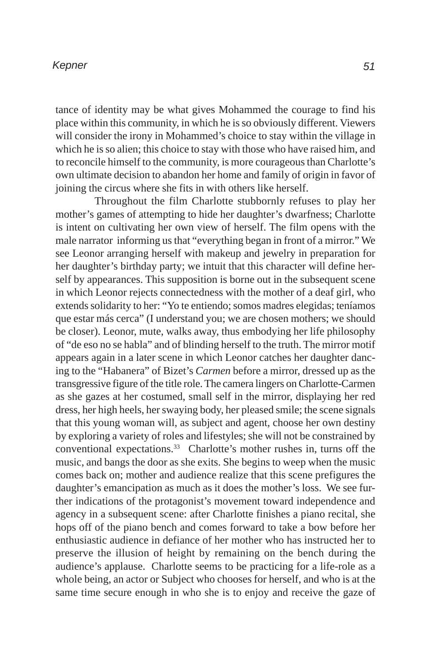tance of identity may be what gives Mohammed the courage to find his place within this community, in which he is so obviously different. Viewers will consider the irony in Mohammed's choice to stay within the village in which he is so alien; this choice to stay with those who have raised him, and to reconcile himself to the community, is more courageous than Charlotte's own ultimate decision to abandon her home and family of origin in favor of joining the circus where she fits in with others like herself.

Throughout the film Charlotte stubbornly refuses to play her mother's games of attempting to hide her daughter's dwarfness; Charlotte is intent on cultivating her own view of herself. The film opens with the male narrator informing us that "everything began in front of a mirror." We see Leonor arranging herself with makeup and jewelry in preparation for her daughter's birthday party; we intuit that this character will define herself by appearances. This supposition is borne out in the subsequent scene in which Leonor rejects connectedness with the mother of a deaf girl, who extends solidarity to her: "Yo te entiendo; somos madres elegidas; teníamos que estar más cerca" (I understand you; we are chosen mothers; we should be closer). Leonor, mute, walks away, thus embodying her life philosophy of "de eso no se habla" and of blinding herself to the truth. The mirror motif appears again in a later scene in which Leonor catches her daughter dancing to the "Habanera" of Bizet's *Carmen* before a mirror, dressed up as the transgressive figure of the title role. The camera lingers on Charlotte-Carmen as she gazes at her costumed, small self in the mirror, displaying her red dress, her high heels, her swaying body, her pleased smile; the scene signals that this young woman will, as subject and agent, choose her own destiny by exploring a variety of roles and lifestyles; she will not be constrained by conventional expectations.33 Charlotte's mother rushes in, turns off the music, and bangs the door as she exits. She begins to weep when the music comes back on; mother and audience realize that this scene prefigures the daughter's emancipation as much as it does the mother's loss. We see further indications of the protagonist's movement toward independence and agency in a subsequent scene: after Charlotte finishes a piano recital, she hops off of the piano bench and comes forward to take a bow before her enthusiastic audience in defiance of her mother who has instructed her to preserve the illusion of height by remaining on the bench during the audience's applause. Charlotte seems to be practicing for a life-role as a whole being, an actor or Subject who chooses for herself, and who is at the same time secure enough in who she is to enjoy and receive the gaze of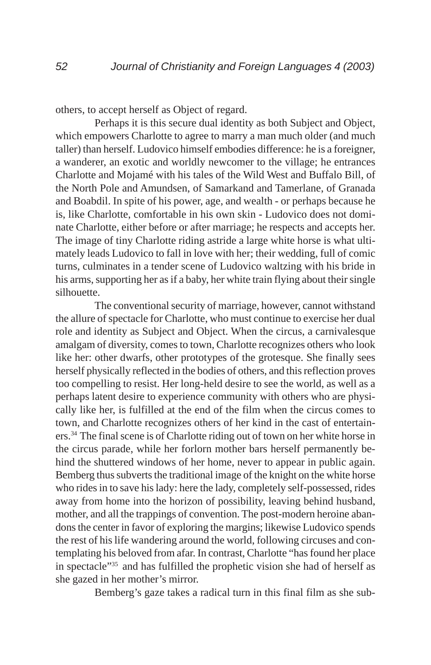others, to accept herself as Object of regard.

Perhaps it is this secure dual identity as both Subject and Object, which empowers Charlotte to agree to marry a man much older (and much taller) than herself. Ludovico himself embodies difference: he is a foreigner, a wanderer, an exotic and worldly newcomer to the village; he entrances Charlotte and Mojamé with his tales of the Wild West and Buffalo Bill, of the North Pole and Amundsen, of Samarkand and Tamerlane, of Granada and Boabdil. In spite of his power, age, and wealth - or perhaps because he is, like Charlotte, comfortable in his own skin - Ludovico does not dominate Charlotte, either before or after marriage; he respects and accepts her. The image of tiny Charlotte riding astride a large white horse is what ultimately leads Ludovico to fall in love with her; their wedding, full of comic turns, culminates in a tender scene of Ludovico waltzing with his bride in his arms, supporting her as if a baby, her white train flying about their single silhouette.

The conventional security of marriage, however, cannot withstand the allure of spectacle for Charlotte, who must continue to exercise her dual role and identity as Subject and Object. When the circus, a carnivalesque amalgam of diversity, comes to town, Charlotte recognizes others who look like her: other dwarfs, other prototypes of the grotesque. She finally sees herself physically reflected in the bodies of others, and this reflection proves too compelling to resist. Her long-held desire to see the world, as well as a perhaps latent desire to experience community with others who are physically like her, is fulfilled at the end of the film when the circus comes to town, and Charlotte recognizes others of her kind in the cast of entertainers.34 The final scene is of Charlotte riding out of town on her white horse in the circus parade, while her forlorn mother bars herself permanently behind the shuttered windows of her home, never to appear in public again. Bemberg thus subverts the traditional image of the knight on the white horse who rides in to save his lady: here the lady, completely self-possessed, rides away from home into the horizon of possibility, leaving behind husband, mother, and all the trappings of convention. The post-modern heroine abandons the center in favor of exploring the margins; likewise Ludovico spends the rest of his life wandering around the world, following circuses and contemplating his beloved from afar. In contrast, Charlotte "has found her place in spectacle"35 and has fulfilled the prophetic vision she had of herself as she gazed in her mother's mirror.

Bemberg's gaze takes a radical turn in this final film as she sub-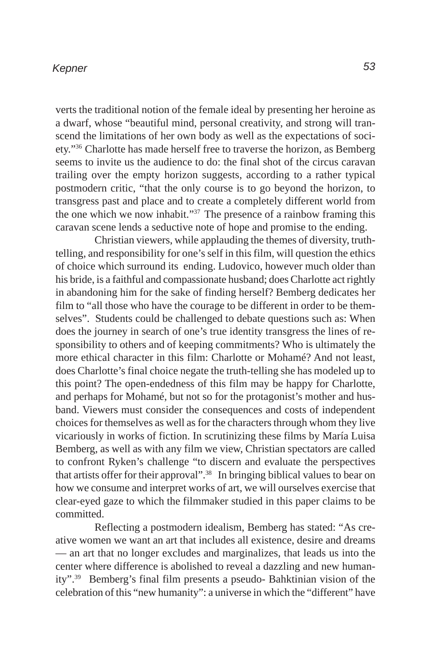verts the traditional notion of the female ideal by presenting her heroine as a dwarf, whose "beautiful mind, personal creativity, and strong will transcend the limitations of her own body as well as the expectations of society."36 Charlotte has made herself free to traverse the horizon, as Bemberg seems to invite us the audience to do: the final shot of the circus caravan trailing over the empty horizon suggests, according to a rather typical postmodern critic, "that the only course is to go beyond the horizon, to transgress past and place and to create a completely different world from the one which we now inhabit." $37$  The presence of a rainbow framing this caravan scene lends a seductive note of hope and promise to the ending.

Christian viewers, while applauding the themes of diversity, truthtelling, and responsibility for one's self in this film, will question the ethics of choice which surround its ending. Ludovico, however much older than his bride, is a faithful and compassionate husband; does Charlotte act rightly in abandoning him for the sake of finding herself? Bemberg dedicates her film to "all those who have the courage to be different in order to be themselves". Students could be challenged to debate questions such as: When does the journey in search of one's true identity transgress the lines of responsibility to others and of keeping commitments? Who is ultimately the more ethical character in this film: Charlotte or Mohamé? And not least, does Charlotte's final choice negate the truth-telling she has modeled up to this point? The open-endedness of this film may be happy for Charlotte, and perhaps for Mohamé, but not so for the protagonist's mother and husband. Viewers must consider the consequences and costs of independent choices for themselves as well as for the characters through whom they live vicariously in works of fiction. In scrutinizing these films by María Luisa Bemberg, as well as with any film we view, Christian spectators are called to confront Ryken's challenge "to discern and evaluate the perspectives that artists offer for their approval".38 In bringing biblical values to bear on how we consume and interpret works of art, we will ourselves exercise that clear-eyed gaze to which the filmmaker studied in this paper claims to be committed.

Reflecting a postmodern idealism, Bemberg has stated: "As creative women we want an art that includes all existence, desire and dreams — an art that no longer excludes and marginalizes, that leads us into the center where difference is abolished to reveal a dazzling and new humanity".39 Bemberg's final film presents a pseudo- Bahktinian vision of the celebration of this "new humanity": a universe in which the "different" have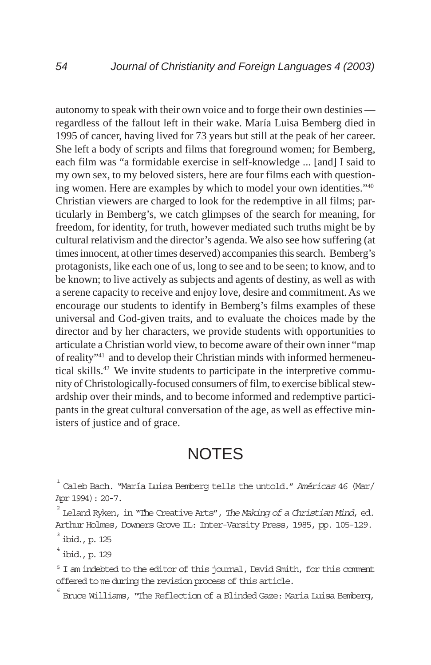autonomy to speak with their own voice and to forge their own destinies regardless of the fallout left in their wake. María Luisa Bemberg died in 1995 of cancer, having lived for 73 years but still at the peak of her career. She left a body of scripts and films that foreground women; for Bemberg, each film was "a formidable exercise in self-knowledge ... [and] I said to my own sex, to my beloved sisters, here are four films each with questioning women. Here are examples by which to model your own identities."40 Christian viewers are charged to look for the redemptive in all films; particularly in Bemberg's, we catch glimpses of the search for meaning, for freedom, for identity, for truth, however mediated such truths might be by cultural relativism and the director's agenda. We also see how suffering (at times innocent, at other times deserved) accompanies this search. Bemberg's protagonists, like each one of us, long to see and to be seen; to know, and to be known; to live actively as subjects and agents of destiny, as well as with a serene capacity to receive and enjoy love, desire and commitment. As we encourage our students to identify in Bemberg's films examples of these universal and God-given traits, and to evaluate the choices made by the director and by her characters, we provide students with opportunities to articulate a Christian world view, to become aware of their own inner "map of reality"41 and to develop their Christian minds with informed hermeneutical skills.42 We invite students to participate in the interpretive community of Christologically-focused consumers of film, to exercise biblical stewardship over their minds, and to become informed and redemptive participants in the great cultural conversation of the age, as well as effective ministers of justice and of grace.

# **NOTES**

1 Caleb Bach. "María Luisa Bemberg tells the untold." Américas 46 (Mar/ Apr 1994): 20-7.

2 Leland Ryken, in "The Creative Arts", The Making of a Christian Mind, ed. Arthur Holmes, Downers Grove IL: Inter-Varsity Press, 1985, pp. 105-129.

3 ibid., p. 125

4 ibid., p. 129

<sup>5</sup> I am indebted to the editor of this journal, David Smith, for this comment offered to me during the revision process of this article.

 $\degree$  Bruce Williams, "The Reflection of a Blinded Gaze: Maria Luisa Bemberg,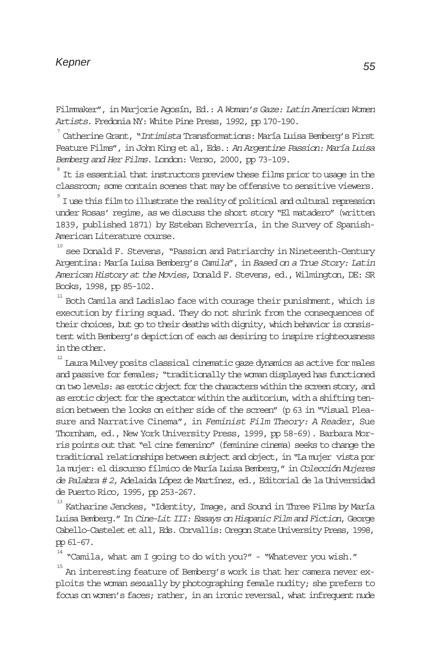Filmmaker", in Marjorie Agosín, Ed.: A Woman's Gaze: Latin American Women Artists. Fredonia NY: White Pine Press, 1992, pp 170-190.

 $\mathrm{7}^\mathrm{7}$ Catherine Grant, "Int*imista* Transformations: María Luisa Bemberg's First Feature Films", in John King et al, Eds.: An Argentine Passion: María Luisa Bemberg and Her Films. London: Verso, 2000, pp 73-109.

 $\degree$  It is essential that instructors preview these films prior to usage in the classroom; some contain scenes that may be offensive to sensitive viewers.

 $^{\circ}$  I use this film to illustrate the reality of political and cultural repression under Rosas' regime, as we discuss the short story "El matadero" (written 1839, published 1871) by Esteban Echeverría, in the Survey of Spanish-American Literature course.

10 see Donald F. Stevens, "Passion and Patriarchy in Nineteenth-Century Argentina: María Luisa Bemberg's Camila", in Based on a True Story: Latin American History at the Movies, Donald F. Stevens, ed., Wilmington, DE: SR Books, 1998, pp 85-102.

 $^{\scriptscriptstyle 11}$  Both Camila and Ladislao face with courage their punishment, which is execution by firing squad. They do not shrink from the consequences of their choices, but go to their deaths with dignity, which behavior is consistent with Bemberg's depiction of each as desiring to inspire righteousness in the other.

 $^{\text{\tiny{12}}}$  Laura Mulvey posits classical cinematic gaze dynamics as active for males and passive for females; "traditionally the woman displayed has functioned on two levels: as erotic object for the characters within the screen story, and as erotic object for the spectator within the auditorium, with a shifting tension between the looks on either side of the screen" (p 63 in "Visual Pleasure and Narrative Cinema", in Feminist Film Theory: A Reader, Sue Thornham, ed., New York University Press, 1999, pp 58-69). Barbara Morris points out that "el cine femenino" (feminine cinema) seeks to change the traditional relationships between subject and object, in "La mujer vista por la mujer: el discurso fílmico de María Luisa Bemberg," in Colección Mujeres de Palabra # 2, Adelaida López de Martínez, ed., Editorial de la Universidad de Puerto Rico, 1995, pp 253-267.

 $^{\scriptscriptstyle 13}$  Katharine Jenckes, "Identity, Image, and Sound in Three Films by María Luisa Bemberg." In Cine-Lit III: Essays on Hispanic Film and Fiction, George Cabello-Castelet et all, Eds. Corvallis: Oregon State University Press, 1998, pp 61-67.

 $14$  "Camila, what am I going to do with you?" - "Whatever you wish."

<sup>15</sup> An interesting feature of Bemberg's work is that her camera never exploits the woman sexually by photographing female nudity; she prefers to focus on women's faces; rather, in an ironic reversal, what infrequent nude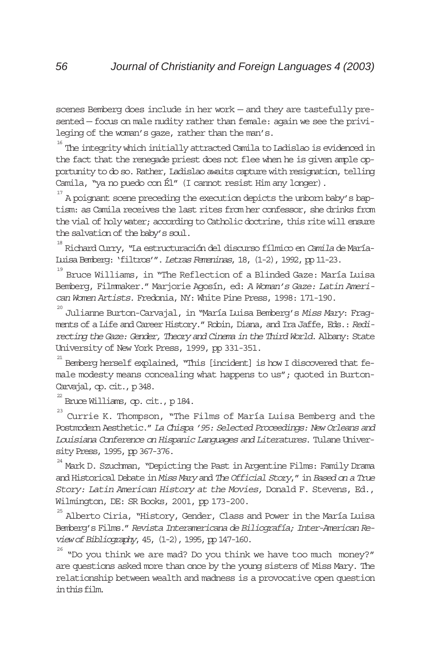scenes Bemberg does include in her work — and they are tastefully presented — focus on male nudity rather than female: again we see the privileging of the woman's gaze, rather than the man's.

 $^{\text{\tiny{16}}}$  The integrity which initially attracted Camila to Ladislao is evidenced in the fact that the renegade priest does not flee when he is given ample opportunity to do so. Rather, Ladislao awaits capture with resignation, telling Camila, "ya no puedo con Él" (I cannot resist Him any longer).

17 A poignant scene preceding the execution depicts the unborn baby's baptism: as Camila receives the last rites from her confessor, she drinks from the vial of holy water; according to Catholic doctrine, this rite will ensure the salvation of the baby's soul.

18 Richard Curry, "La estructuración del discurso fílmico en Camilade María-Luisa Bemberg: 'filtros'". Letras Femeninas, 18, (1-2), 1992, pp 11-23.

19 Bruce Williams, in "The Reflection of a Blinded Gaze: María Luisa Bemberg, Filmmaker." Marjorie Agosín, ed: A Woman's Gaze: Latin American Women Artists. Fredonia, NY: White Pine Press, 1998: 171-190.

20 Julianne Burton-Carvajal, in "María Luisa Bemberg's Miss Mary: Fragments of a Life and Career History." Robin, Diana, and Ira Jaffe, Eds.: Redirecting the Gaze: Gender, Theory and Cinema in the Third World. Albany: State University of New York Press, 1999, pp 331-351.

21 Bemberg herself explained, "This [incident] is how I discovered that female modesty means concealing what happens to us"; quoted in Burton-Carvajal, op. cit., p 348.

 $^{22}$  Bruce Williams, op. cit., p 184.

23 Currie K. Thompson, "The Films of María Luisa Bemberg and the Postmodern Aesthetic." La Chispa '95: Selected Proceedings: New Orleans and Louisiana Conference on Hispanic Languages and Literatures. Tulane University Press, 1995, pp 367-376.

24 Mark D. Szuchman, "Depicting the Past in Argentine Films: Family Drama and Historical Debate in Miss Maryand The Official Story," in Based on a True Story: Latin American History at the Movies, Donald F. Stevens, Ed., Wilmington, DE: SR Books, 2001, pp 173-200.

<sup>25</sup> Alberto Ciria, "History, Gender, Class and Power in the María Luisa Bemberg's Films."Revista Interamericana de Biliografía; Inter-American Review of Bibliography, 45, (1-2), 1995, pp 147-160.

26 "Do you think we are mad? Do you think we have too much money?" are questions asked more than once by the young sisters of Miss Mary. The relationship between wealth and madness is a provocative open question in this film.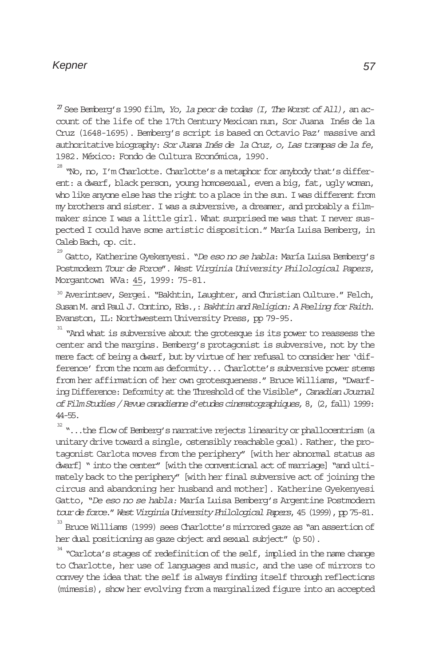$^{27}$  See Bemberg's 1990 film, Yo, la peor de todas (I, The Worst of All), an account of the life of the 17th Century Mexican nun, Sor Juana Inés de la Cruz (1648-1695). Bemberg's script is based on Octavio Paz' massive and authoritative biography: Sor Juana Inés de la Cruz, o, Las trampas de la fe, 1982. México: Fondo de Cultura Económica, 1990.

28 "No, no, I'm Charlotte. Charlotte's a metaphor for anybody that's different: a dwarf, black person, young homosexual, even a big, fat, ugly woman, who like anyone else has the right to a place in the sun. I was different from my brothers and sister. I was a subversive, a dreamer, and probably a filmmaker since I was a little girl. What surprised me was that I never suspected I could have some artistic disposition." María Luisa Bemberg, in Caleb Bach, op. cit.

<sup>29</sup> Gatto, Katherine Gyekenyesi. "*De eso no se habla: M*aría Luisa Bemberg's Postmodern Tour de Force". West Virginia University Philological Papers, Morgantown WVa: 45, 1999: 75-81.

<sup>30</sup> Averintsev, Sergei. "Bakhtin, Laughter, and Christian Culture." Felch, Susan M. and Paul J. Contino, Eds.,: Bakhtin and Religion: A Feeling for Faith. Evanston, IL: Northwestern University Press, pp 79-95.

<sup>31</sup> "And what is subversive about the grotesque is its power to reassess the center and the margins. Bemberg's protagonist is subversive, not by the mere fact of being a dwarf, but by virtue of her refusal to consider her 'difference' from the norm as deformity... Charlotte's subversive power stems from her affirmation of her own grotesqueness." Bruce Williams, "Dwarfing Difference: Deformity at the Threshold of the Visible", Canadian Journal of Film Studies / Revue canadienne d'etudes cinematographiques, 8, (2, fall) 1999: 44-55.

32 "...the flow of Bemberg's narrative rejects linearity or phallocentrism (a unitary drive toward a single, ostensibly reachable goal). Rather, the protagonist Carlota moves from the periphery" [with her abnormal status as dwarf] " into the center" [with the conventional act of marriage] "and ultimately back to the periphery" [with her final subversive act of joining the circus and abandoning her husband and mother]. Katherine Gyekenyesi Gatto, "De eso no se habla: María Luisa Bemberg's Argentine Postmodern tour de force." West Virginia University Philological Papers, 45 (1999), pp 75-81.

33 Bruce Williams (1999) sees Charlotte's mirrored gaze as "an assertion of her dual positioning as gaze object and sexual subject" (p 50).

 $^{34}$  "Carlota's stages of redefinition of the self, implied in the name change to Charlotte, her use of languages and music, and the use of mirrors to convey the idea that the self is always finding itself through reflections (mimesis), show her evolving from a marginalized figure into an accepted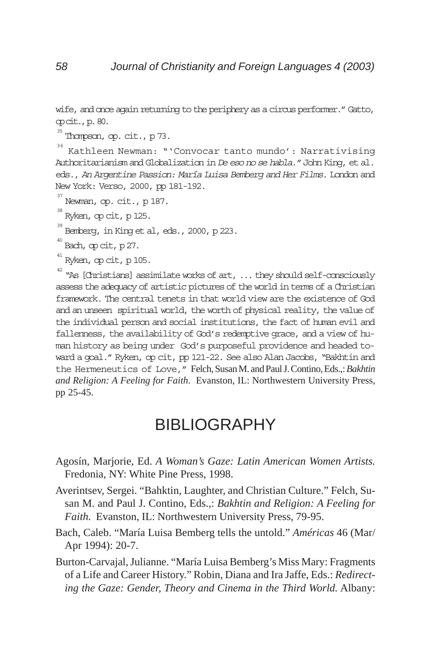wife, and once again returning to the periphery as a circus performer." Gatto, op cit., p. 80.

35 Thompson, op. cit., p 73.

36 Kathleen Newman: "'Convocar tanto mundo': Narrativising Authoritarianism and Globalization in De eso no se habla." John King, et al. eds., An Argentine Passion: María Luisa Bemberg and Her Films. London and New York: Verso, 2000, pp 181-192.

- 37 Newman, op. cit., p 187.
- 38 Ryken, op cit, p 125.

39 Bemberg, in King et al, eds., 2000, p 223.

40 Bach, op cit, p 27.

41 Ryken, op cit, p 105.

 $^{42}$  "As [Christians] assimilate works of art,  $\,\dots$  they should self-consciously assess the adequacy of artistic pictures of the world in terms of a Christian framework. The central tenets in that world view are the existence of God and an unseen spiritual world, the worth of physical reality, the value of the individual person and social institutions, the fact of human evil and fallenness, the availability of God's redemptive grace, and a view of human history as being under God's purposeful providence and headed toward a goal." Ryken, op cit, pp 121-22. See also Alan Jacobs, "Bakhtin and the Hermeneutics of Love," Felch, Susan M. and Paul J. Contino, Eds.,: *Bakhtin and Religion: A Feeling for Faith*. Evanston, IL: Northwestern University Press, pp 25-45.

### BIBLIOGRAPHY

- Agosín, Marjorie, Ed. *A Woman's Gaze: Latin American Women Artists.* Fredonia, NY: White Pine Press, 1998.
- Averintsev, Sergei. "Bahktin, Laughter, and Christian Culture." Felch, Susan M. and Paul J. Contino, Eds.,: *Bakhtin and Religion: A Feeling for Faith*. Evanston, IL: Northwestern University Press, 79-95.
- Bach, Caleb. "María Luisa Bemberg tells the untold." *Américas* 46 (Mar/ Apr 1994): 20-7.
- Burton-Carvajal, Julianne. "María Luisa Bemberg's Miss Mary: Fragments of a Life and Career History." Robin, Diana and Ira Jaffe, Eds.: *Redirecting the Gaze: Gender, Theory and Cinema in the Third World.* Albany: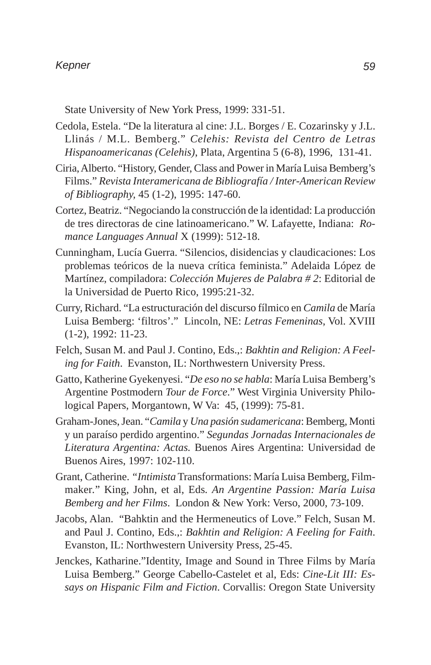State University of New York Press, 1999: 331-51.

- Cedola, Estela. "De la literatura al cine: J.L. Borges / E. Cozarinsky y J.L. Llinás / M.L. Bemberg." *Celehis: Revista del Centro de Letras Hispanoamericanas (Celehis)*, Plata, Argentina 5 (6-8), 1996, 131-41.
- Ciria, Alberto. "History, Gender, Class and Power in María Luisa Bemberg's Films." *Revista Interamericana de Bibliografía / Inter-American Review of Bibliography,* 45 (1-2), 1995: 147-60.
- Cortez, Beatriz. "Negociando la construcción de la identidad: La producción de tres directoras de cine latinoamericano." W. Lafayette, Indiana: *Romance Languages Annual* X (1999): 512-18.
- Cunningham, Lucía Guerra. "Silencios, disidencias y claudicaciones: Los problemas teóricos de la nueva crítica feminista." Adelaida López de Martínez, compiladora: *Colección Mujeres de Palabra # 2*: Editorial de la Universidad de Puerto Rico, 1995:21-32.
- Curry, Richard. "La estructuración del discurso fílmico en *Camila* de María Luisa Bemberg: 'filtros'." Lincoln, NE: *Letras Femeninas*, Vol. XVIII (1-2), 1992: 11-23.
- Felch, Susan M. and Paul J. Contino, Eds.,: *Bakhtin and Religion: A Feeling for Faith*. Evanston, IL: Northwestern University Press.
- Gatto, Katherine Gyekenyesi. "*De eso no se habla*: María Luisa Bemberg's Argentine Postmodern *Tour de Force*." West Virginia University Philological Papers, Morgantown, W Va: 45, (1999): 75-81.
- Graham-Jones, Jean. "*Camila* y *Una pasión sudamericana*: Bemberg, Monti y un paraíso perdido argentino." *Segundas Jornadas Internacionales de Literatura Argentina: Actas.* Buenos Aires Argentina: Universidad de Buenos Aires, 1997: 102-110.
- Grant, Catherine. *"Intimista* Transformations: María Luisa Bemberg, Filmmaker*.*" King, John, et al, Eds*. An Argentine Passion: María Luisa Bemberg and her Films*. London & New York: Verso, 2000, 73-109.
- Jacobs, Alan. "Bahktin and the Hermeneutics of Love." Felch, Susan M. and Paul J. Contino, Eds.,: *Bakhtin and Religion: A Feeling for Faith*. Evanston, IL: Northwestern University Press, 25-45.
- Jenckes, Katharine."Identity, Image and Sound in Three Films by María Luisa Bemberg." George Cabello-Castelet et al, Eds: *Cine-Lit III: Essays on Hispanic Film and Fiction*. Corvallis: Oregon State University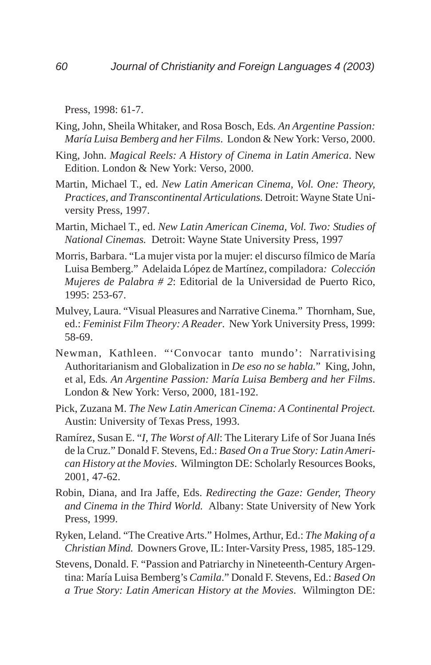Press, 1998: 61-7.

- King, John, Sheila Whitaker, and Rosa Bosch, Eds*. An Argentine Passion: María Luisa Bemberg and her Films*. London & New York: Verso, 2000.
- King, John. *Magical Reels: A History of Cinema in Latin America*. New Edition. London & New York: Verso, 2000.
- Martin, Michael T., ed. *New Latin American Cinema, Vol. One: Theory, Practices, and Transcontinental Articulations.* Detroit: Wayne State University Press, 1997.
- Martin, Michael T., ed. *New Latin American Cinema, Vol. Two: Studies of National Cinemas.* Detroit: Wayne State University Press, 1997
- Morris, Barbara. "La mujer vista por la mujer: el discurso fílmico de María Luisa Bemberg." Adelaida López de Martínez, compiladora*: Colección Mujeres de Palabra # 2*: Editorial de la Universidad de Puerto Rico, 1995: 253-67.
- Mulvey, Laura. "Visual Pleasures and Narrative Cinema." Thornham, Sue, ed.: *Feminist Film Theory: A Reader*. New York University Press, 1999: 58-69.
- Newman, Kathleen. "'Convocar tanto mundo': Narrativising Authoritarianism and Globalization in *De eso no se habla.*" King, John, et al, Eds*. An Argentine Passion: María Luisa Bemberg and her Films*. London & New York: Verso, 2000, 181-192.
- Pick, Zuzana M. *The New Latin American Cinema: A Continental Project.* Austin: University of Texas Press, 1993.
- Ramírez, Susan E. "*I, The Worst of All*: The Literary Life of Sor Juana Inés de la Cruz." Donald F. Stevens, Ed.: *Based On a True Story: Latin American History at the Movies*. Wilmington DE: Scholarly Resources Books, 2001, 47-62.
- Robin, Diana, and Ira Jaffe, Eds. *Redirecting the Gaze: Gender, Theory and Cinema in the Third World.* Albany: State University of New York Press, 1999.
- Ryken, Leland. "The Creative Arts." Holmes, Arthur, Ed.: *The Making of a Christian Mind.* Downers Grove, IL: Inter-Varsity Press, 1985, 185-129.
- Stevens, Donald. F. "Passion and Patriarchy in Nineteenth-Century Argentina: María Luisa Bemberg's *Camila*." Donald F. Stevens, Ed.: *Based On a True Story: Latin American History at the Movies*. Wilmington DE: